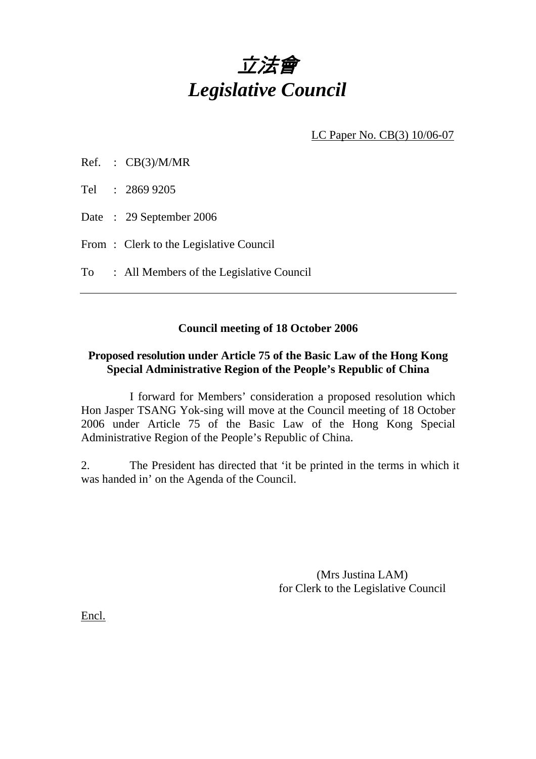

LC Paper No. CB(3) 10/06-07

| Ref. | CB(3)/M/MR |
|------|------------|
|      |            |

Tel : 2869 9205

Date : 29 September 2006

From: Clerk to the Legislative Council

To : All Members of the Legislative Council

## **Council meeting of 18 October 2006**

# **Proposed resolution under Article 75 of the Basic Law of the Hong Kong Special Administrative Region of the People's Republic of China**

 I forward for Members' consideration a proposed resolution which Hon Jasper TSANG Yok-sing will move at the Council meeting of 18 October 2006 under Article 75 of the Basic Law of the Hong Kong Special Administrative Region of the People's Republic of China.

2. The President has directed that 'it be printed in the terms in which it was handed in' on the Agenda of the Council.

> (Mrs Justina LAM) for Clerk to the Legislative Council

Encl.